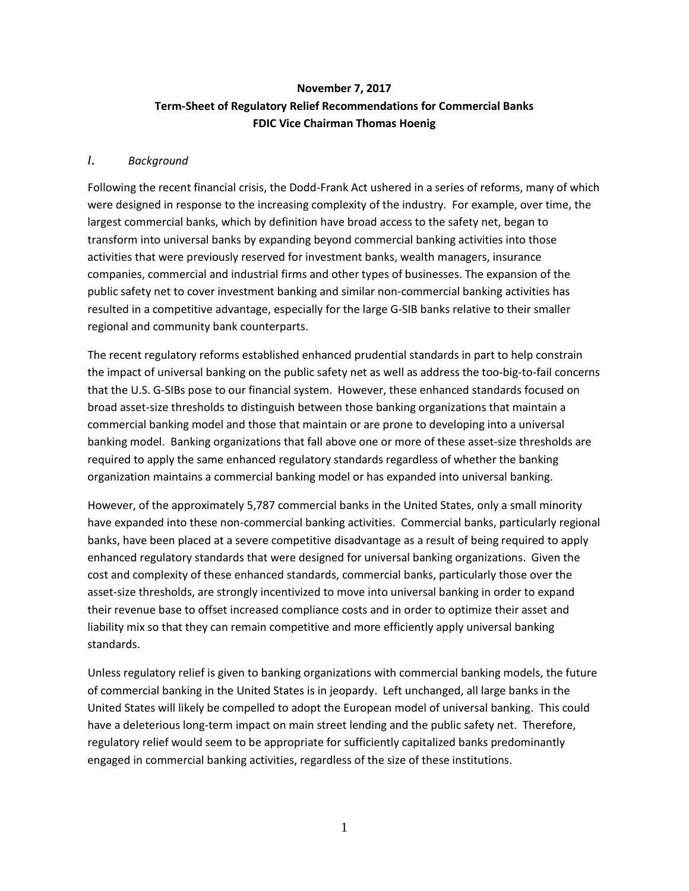# **November 7, 2017 Term-Sheet of Regulatory Relief Recommendations for Commercial Banks FDIC Vice Chairman Thomas Hoenig**

#### *I. Background*

Following the recent financial crisis, the Dodd-Frank Act ushered in a series of reforms, many of which were designed in response to the increasing complexity of the industry. For example, over time, the largest commercial banks, which by definition have broad access to the safety net, began to transform into universal banks by expanding beyond commercial banking activities into those activities that were previously reserved for investment banks, wealth managers, insurance companies, commercial and industrial firms and other types of businesses. The expansion of the public safety net to cover investment banking and similar non-commercial banking activities has resulted in a competitive advantage, especially for the large G-SIB banks relative to their smaller regional and community bank counterparts.

The recent regulatory reforms established enhanced prudential standards in part to help constrain the impact of universal banking on the public safety net as well as address the too-big-to-fail concerns that the U.S. G-SIBs pose to our financial system. However, these enhanced standards focused on broad asset-size thresholds to distinguish between those banking organizations that maintain a commercial banking model and those that maintain or are prone to developing into a universal banking model. Banking organizations that fall above one or more of these asset-size thresholds are required to apply the same enhanced regulatory standards regardless of whether the banking organization maintains a commercial banking model or has expanded into universal banking.

However, of the approximately 5,787 commercial banks in the United States, only a small minority have expanded into these non-commercial banking activities. Commercial banks, particularly regional banks, have been placed at a severe competitive disadvantage as a result of being required to apply enhanced regulatory standards that were designed for universal banking organizations. Given the cost and complexity of these enhanced standards, commercial banks, particularly those over the asset-size thresholds, are strongly incentivized to move into universal banking in order to expand their revenue base to offset increased compliance costs and in order to optimize their asset and liability mix so that they can remain competitive and more efficiently apply universal banking standards.

Unless regulatory relief is given to banking organizations with commercial banking models, the future of commercial banking in the United States is in jeopardy. Left unchanged, all large banks in the United States will likely be compelled to adopt the European model of universal banking. This could have a deleterious long-term impact on main street lending and the public safety net. Therefore, regulatory relief would seem to be appropriate for sufficiently capitalized banks predominantly engaged in commercial banking activities, regardless of the size of these institutions.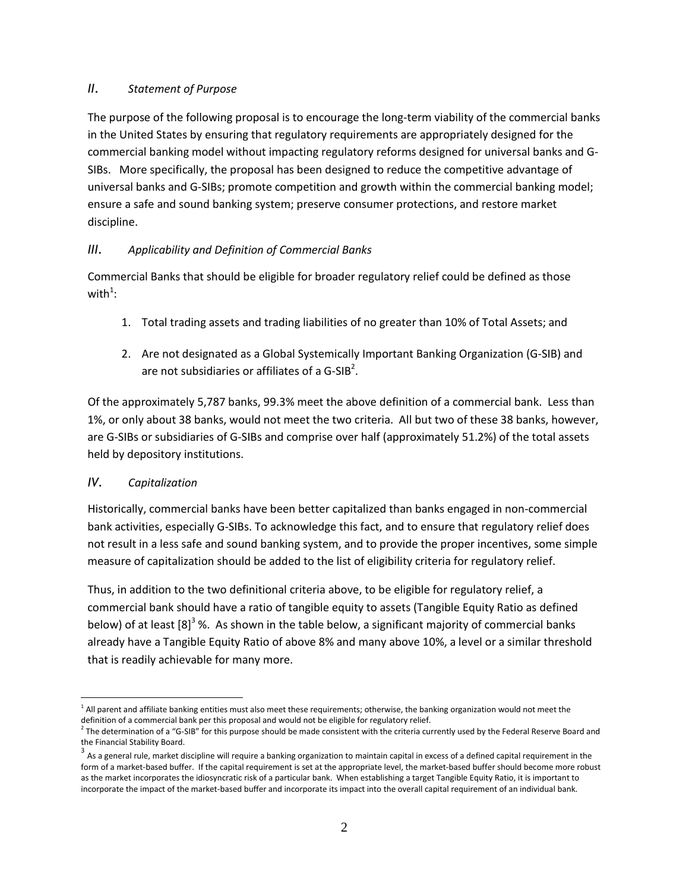### *II. Statement of Purpose*

The purpose of the following proposal is to encourage the long-term viability of the commercial banks in the United States by ensuring that regulatory requirements are appropriately designed for the commercial banking model without impacting regulatory reforms designed for universal banks and G-SIBs. More specifically, the proposal has been designed to reduce the competitive advantage of universal banks and G-SIBs; promote competition and growth within the commercial banking model; ensure a safe and sound banking system; preserve consumer protections, and restore market discipline.

# *III. Applicability and Definition of Commercial Banks*

Commercial Banks that should be eligible for broader regulatory relief could be defined as those with $^1$ :

- 1. Total trading assets and trading liabilities of no greater than 10% of Total Assets; and
- 2. Are not designated as a Global Systemically Important Banking Organization (G-SIB) and are not subsidiaries or affiliates of a G-SIB<sup>2</sup>.

Of the approximately 5,787 banks, 99.3% meet the above definition of a commercial bank. Less than 1%, or only about 38 banks, would not meet the two criteria. All but two of these 38 banks, however, are G-SIBs or subsidiaries of G-SIBs and comprise over half (approximately 51.2%) of the total assets held by depository institutions.

### *IV. Capitalization*

Historically, commercial banks have been better capitalized than banks engaged in non-commercial bank activities, especially G-SIBs. To acknowledge this fact, and to ensure that regulatory relief does not result in a less safe and sound banking system, and to provide the proper incentives, some simple measure of capitalization should be added to the list of eligibility criteria for regulatory relief.

Thus, in addition to the two definitional criteria above, to be eligible for regulatory relief, a commercial bank should have a ratio of tangible equity to assets (Tangible Equity Ratio as defined below) of at least [8]<sup>3</sup> %. As shown in the table below, a significant majority of commercial banks already have a Tangible Equity Ratio of above 8% and many above 10%, a level or a similar threshold that is readily achievable for many more.

 $\overline{a}$ <sup>1</sup> All parent and affiliate banking entities must also meet these requirements; otherwise, the banking organization would not meet the definition of a commercial bank per this proposal and would not be eligible for regulatory relief.

 $^2$  The determination of a "G-SIB" for this purpose should be made consistent with the criteria currently used by the Federal Reserve Board and the Financial Stability Board.

 $^3$  As a general rule, market discipline will require a banking organization to maintain capital in excess of a defined capital requirement in the form of a market-based buffer. If the capital requirement is set at the appropriate level, the market-based buffer should become more robust as the market incorporates the idiosyncratic risk of a particular bank. When establishing a target Tangible Equity Ratio, it is important to incorporate the impact of the market-based buffer and incorporate its impact into the overall capital requirement of an individual bank.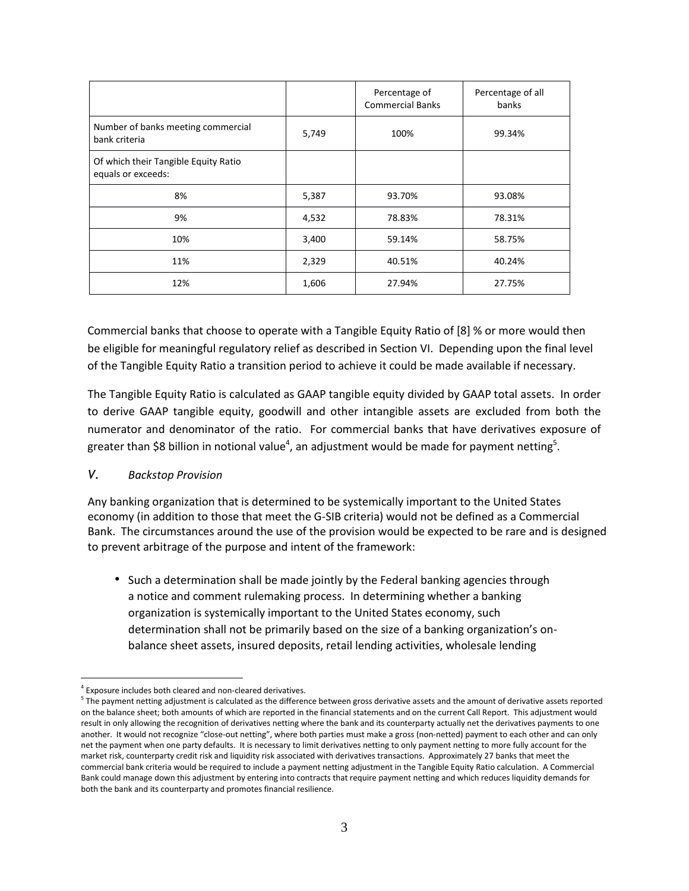|                                                            |       | Percentage of<br><b>Commercial Banks</b> | Percentage of all<br>banks |
|------------------------------------------------------------|-------|------------------------------------------|----------------------------|
| Number of banks meeting commercial<br>bank criteria        | 5,749 | 100%                                     | 99.34%                     |
| Of which their Tangible Equity Ratio<br>equals or exceeds: |       |                                          |                            |
| 8%                                                         | 5,387 | 93.70%                                   | 93.08%                     |
| 9%                                                         | 4,532 | 78.83%                                   | 78.31%                     |
| 10%                                                        | 3,400 | 59.14%                                   | 58.75%                     |
| 11%                                                        | 2,329 | 40.51%                                   | 40.24%                     |
| 12%                                                        | 1,606 | 27.94%                                   | 27.75%                     |

Commercial banks that choose to operate with a Tangible Equity Ratio of [8] % or more would then be eligible for meaningful regulatory relief as described in Section VI. Depending upon the final level of the Tangible Equity Ratio a transition period to achieve it could be made available if necessary.

The Tangible Equity Ratio is calculated as GAAP tangible equity divided by GAAP total assets. In order to derive GAAP tangible equity, goodwill and other intangible assets are excluded from both the numerator and denominator of the ratio. For commercial banks that have derivatives exposure of greater than \$8 billion in notional value<sup>4</sup>, an adjustment would be made for payment netting<sup>5</sup>.

### *V. Backstop Provision*

Any banking organization that is determined to be systemically important to the United States economy (in addition to those that meet the G-SIB criteria) would not be defined as a Commercial Bank. The circumstances around the use of the provision would be expected to be rare and is designed to prevent arbitrage of the purpose and intent of the framework:

• Such a determination shall be made jointly by the Federal banking agencies through a notice and comment rulemaking process. In determining whether a banking organization is systemically important to the United States economy, such determination shall not be primarily based on the size of a banking organization's onbalance sheet assets, insured deposits, retail lending activities, wholesale lending

 $\overline{a}$ <sup>4</sup> Exposure includes both cleared and non-cleared derivatives.

<sup>&</sup>lt;sup>5</sup> The payment netting adjustment is calculated as the difference between gross derivative assets and the amount of derivative assets reported on the balance sheet; both amounts of which are reported in the financial statements and on the current Call Report. This adjustment would result in only allowing the recognition of derivatives netting where the bank and its counterparty actually net the derivatives payments to one another. It would not recognize "close-out netting", where both parties must make a gross (non-netted) payment to each other and can only net the payment when one party defaults. It is necessary to limit derivatives netting to only payment netting to more fully account for the market risk, counterparty credit risk and liquidity risk associated with derivatives transactions. Approximately 27 banks that meet the commercial bank criteria would be required to include a payment netting adjustment in the Tangible Equity Ratio calculation. A Commercial Bank could manage down this adjustment by entering into contracts that require payment netting and which reduces liquidity demands for both the bank and its counterparty and promotes financial resilience.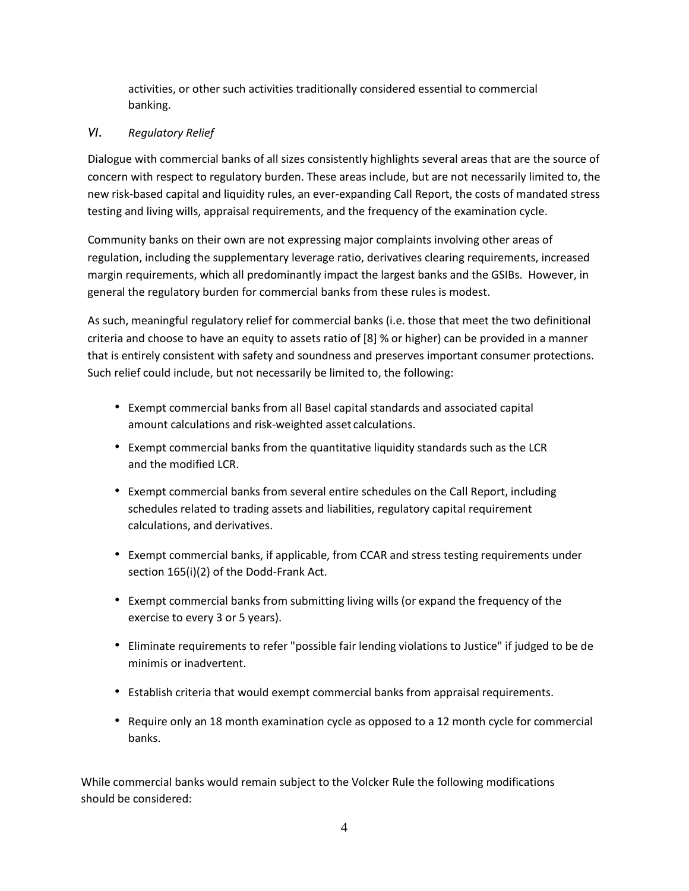activities, or other such activities traditionally considered essential to commercial banking.

# *VI. Regulatory Relief*

Dialogue with commercial banks of all sizes consistently highlights several areas that are the source of concern with respect to regulatory burden. These areas include, but are not necessarily limited to, the new risk-based capital and liquidity rules, an ever-expanding Call Report, the costs of mandated stress testing and living wills, appraisal requirements, and the frequency of the examination cycle.

Community banks on their own are not expressing major complaints involving other areas of regulation, including the supplementary leverage ratio, derivatives clearing requirements, increased margin requirements, which all predominantly impact the largest banks and the GSIBs. However, in general the regulatory burden for commercial banks from these rules is modest.

As such, meaningful regulatory relief for commercial banks (i.e. those that meet the two definitional criteria and choose to have an equity to assets ratio of [8] % or higher) can be provided in a manner that is entirely consistent with safety and soundness and preserves important consumer protections. Such relief could include, but not necessarily be limited to, the following:

- Exempt commercial banks from all Basel capital standards and associated capital amount calculations and risk-weighted asset calculations.
- Exempt commercial banks from the quantitative liquidity standards such as the LCR and the modified LCR.
- Exempt commercial banks from several entire schedules on the Call Report, including schedules related to trading assets and liabilities, regulatory capital requirement calculations, and derivatives.
- Exempt commercial banks, if applicable, from CCAR and stress testing requirements under section 165(i)(2) of the Dodd-Frank Act.
- Exempt commercial banks from submitting living wills (or expand the frequency of the exercise to every 3 or 5 years).
- Eliminate requirements to refer "possible fair lending violations to Justice" if judged to be de minimis or inadvertent.
- Establish criteria that would exempt commercial banks from appraisal requirements.
- Require only an 18 month examination cycle as opposed to a 12 month cycle for commercial banks.

While commercial banks would remain subject to the Volcker Rule the following modifications should be considered: